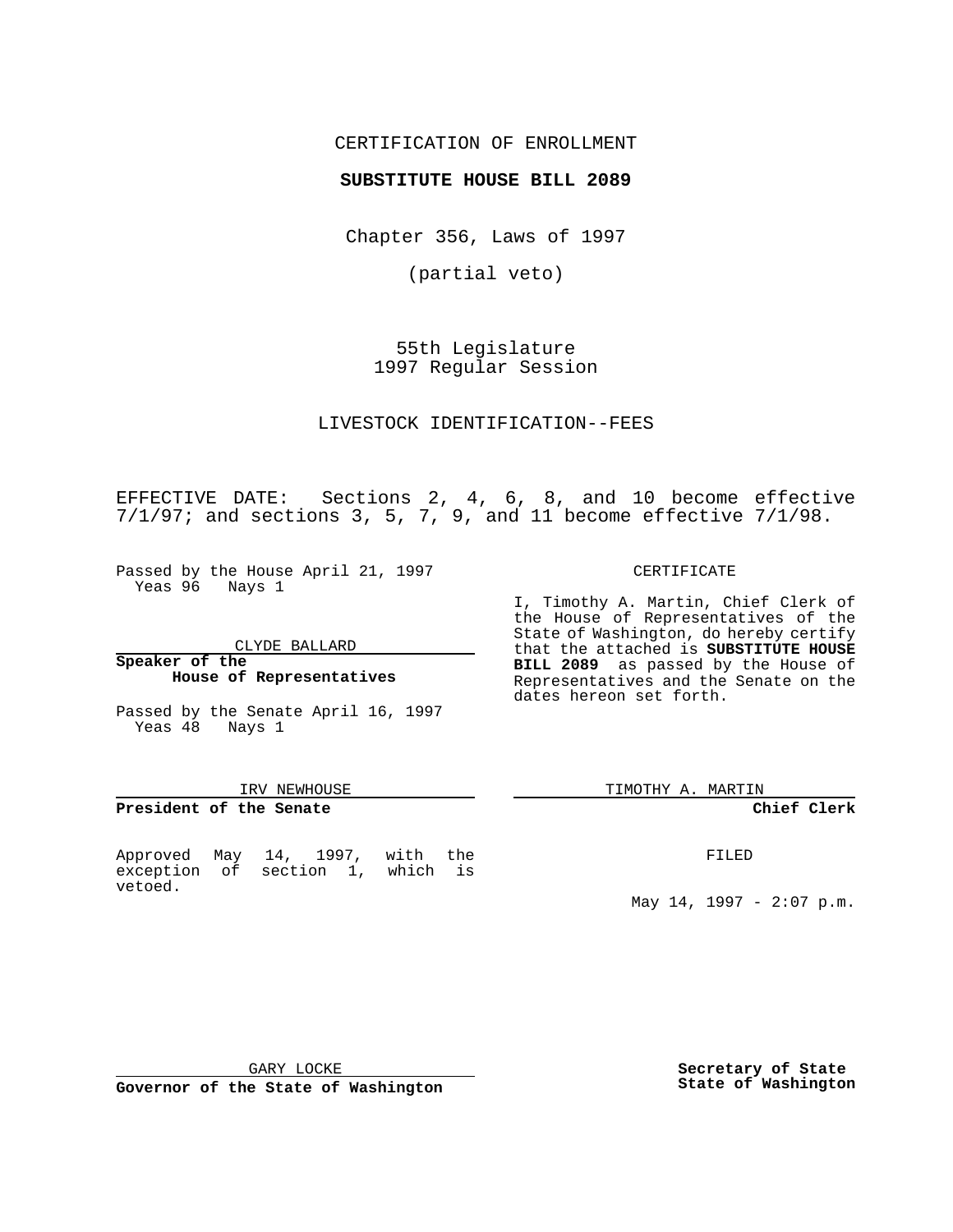### CERTIFICATION OF ENROLLMENT

### **SUBSTITUTE HOUSE BILL 2089**

Chapter 356, Laws of 1997

(partial veto)

55th Legislature 1997 Regular Session

LIVESTOCK IDENTIFICATION--FEES

EFFECTIVE DATE: Sections 2, 4, 6, 8, and 10 become effective 7/1/97; and sections 3, 5, 7, 9, and 11 become effective 7/1/98.

Passed by the House April 21, 1997 Yeas 96 Nays 1

CLYDE BALLARD

#### **Speaker of the House of Representatives**

Passed by the Senate April 16, 1997 Yeas 48 Nays 1

#### IRV NEWHOUSE

# **President of the Senate**

Approved May 14, 1997, with the exception of section 1, which is vetoed.

CERTIFICATE

I, Timothy A. Martin, Chief Clerk of the House of Representatives of the State of Washington, do hereby certify that the attached is **SUBSTITUTE HOUSE BILL 2089** as passed by the House of Representatives and the Senate on the dates hereon set forth.

TIMOTHY A. MARTIN

### **Chief Clerk**

FILED

May 14, 1997 - 2:07 p.m.

GARY LOCKE

**Governor of the State of Washington**

**Secretary of State State of Washington**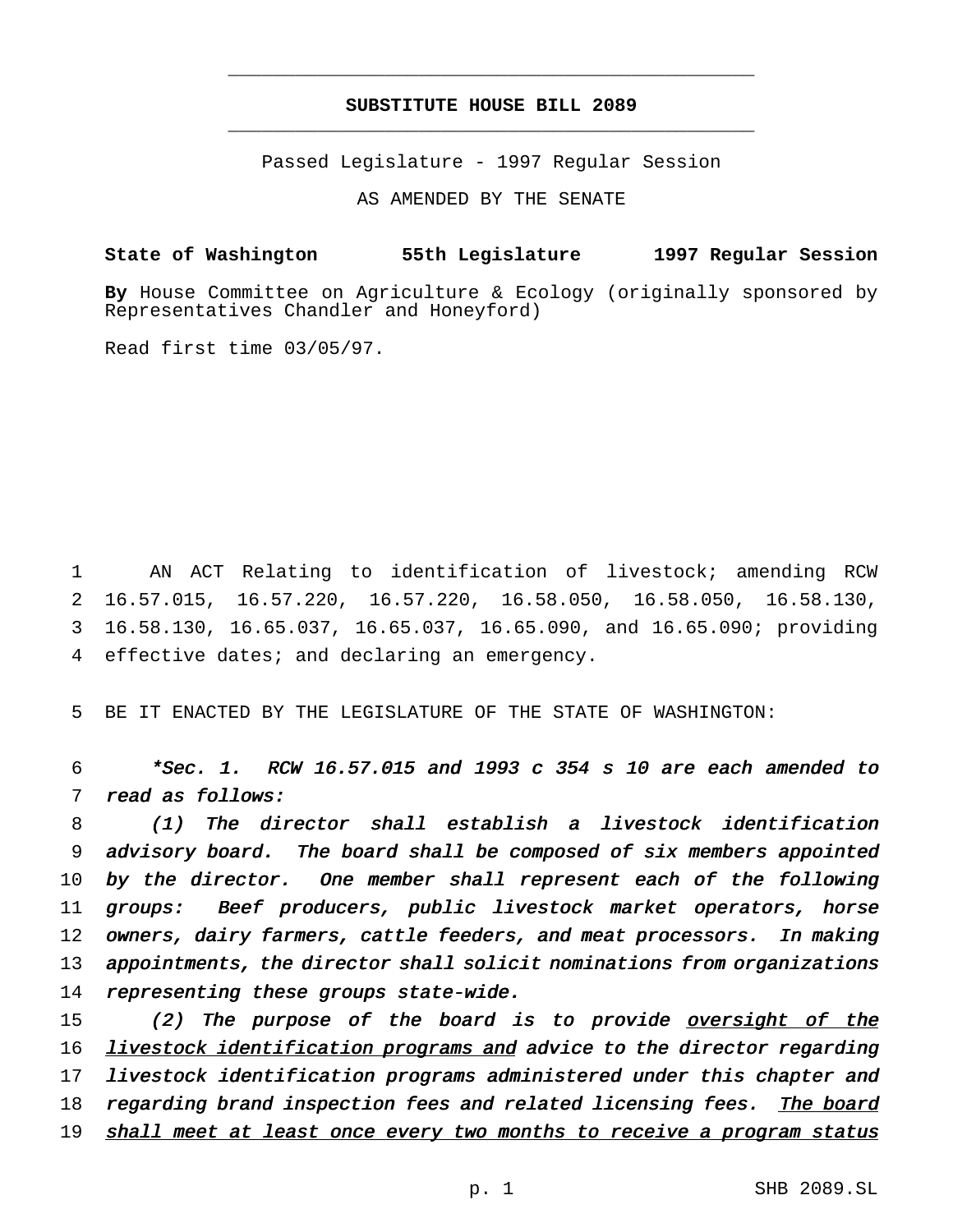## **SUBSTITUTE HOUSE BILL 2089** \_\_\_\_\_\_\_\_\_\_\_\_\_\_\_\_\_\_\_\_\_\_\_\_\_\_\_\_\_\_\_\_\_\_\_\_\_\_\_\_\_\_\_\_\_\_\_

\_\_\_\_\_\_\_\_\_\_\_\_\_\_\_\_\_\_\_\_\_\_\_\_\_\_\_\_\_\_\_\_\_\_\_\_\_\_\_\_\_\_\_\_\_\_\_

Passed Legislature - 1997 Regular Session

AS AMENDED BY THE SENATE

**State of Washington 55th Legislature 1997 Regular Session**

**By** House Committee on Agriculture & Ecology (originally sponsored by Representatives Chandler and Honeyford)

Read first time 03/05/97.

 AN ACT Relating to identification of livestock; amending RCW 16.57.015, 16.57.220, 16.57.220, 16.58.050, 16.58.050, 16.58.130, 16.58.130, 16.65.037, 16.65.037, 16.65.090, and 16.65.090; providing effective dates; and declaring an emergency.

5 BE IT ENACTED BY THE LEGISLATURE OF THE STATE OF WASHINGTON:

6 \*Sec. 1. RCW 16.57.015 and <sup>1993</sup> <sup>c</sup> <sup>354</sup> <sup>s</sup> <sup>10</sup> are each amended to 7 read as follows:

 (1) The director shall establish <sup>a</sup> livestock identification advisory board. The board shall be composed of six members appointed by the director. One member shall represent each of the following groups: Beef producers, public livestock market operators, horse owners, dairy farmers, cattle feeders, and meat processors. In making appointments, the director shall solicit nominations from organizations 14 representing these groups state-wide.

15 (2) The purpose of the board is to provide oversight of the 16 livestock identification programs and advice to the director regarding 17 livestock identification programs administered under this chapter and 18 regarding brand inspection fees and related licensing fees. The board 19 shall meet at least once every two months to receive <sup>a</sup> program status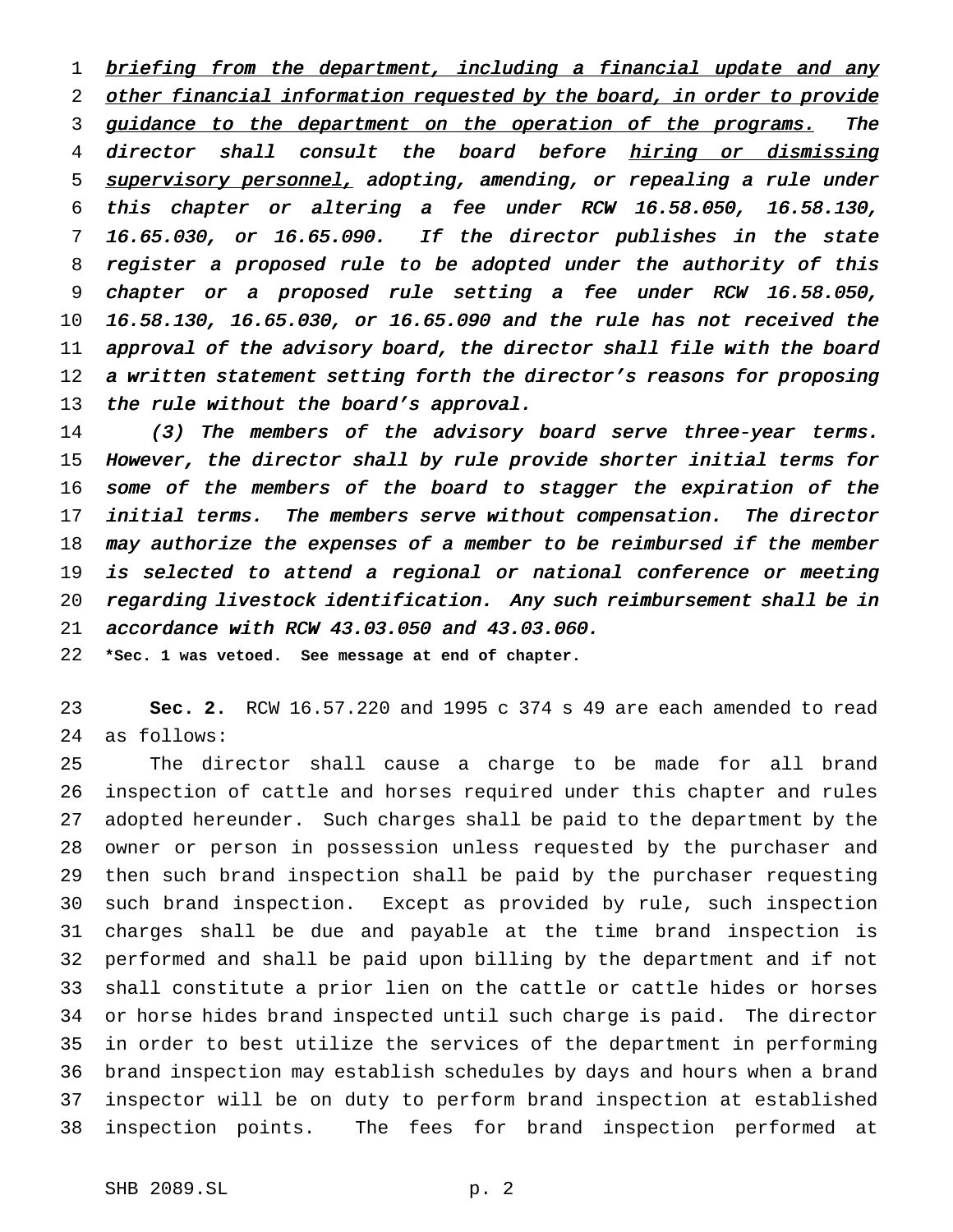1 briefing from the department, including a financial update and any 2 other financial information requested by the board, in order to provide 3 guidance to the department on the operation of the programs. The 4 director shall consult the board before hiring or dismissing 5 supervisory personnel, adopting, amending, or repealing a rule under this chapter or altering <sup>a</sup> fee under RCW 16.58.050, 16.58.130, 16.65.030, or 16.65.090. If the director publishes in the state register <sup>a</sup> proposed rule to be adopted under the authority of this chapter or <sup>a</sup> proposed rule setting <sup>a</sup> fee under RCW 16.58.050, 16.58.130, 16.65.030, or 16.65.090 and the rule has not received the approval of the advisory board, the director shall file with the board <sup>a</sup> written statement setting forth the director's reasons for proposing 13 the rule without the board's approval.

 (3) The members of the advisory board serve three-year terms. However, the director shall by rule provide shorter initial terms for 16 some of the members of the board to stagger the expiration of the initial terms. The members serve without compensation. The director may authorize the expenses of <sup>a</sup> member to be reimbursed if the member is selected to attend <sup>a</sup> regional or national conference or meeting regarding livestock identification. Any such reimbursement shall be in accordance with RCW 43.03.050 and 43.03.060.

**\*Sec. 1 was vetoed. See message at end of chapter.**

 **Sec. 2.** RCW 16.57.220 and 1995 c 374 s 49 are each amended to read as follows:

 The director shall cause a charge to be made for all brand inspection of cattle and horses required under this chapter and rules adopted hereunder. Such charges shall be paid to the department by the owner or person in possession unless requested by the purchaser and then such brand inspection shall be paid by the purchaser requesting such brand inspection. Except as provided by rule, such inspection charges shall be due and payable at the time brand inspection is performed and shall be paid upon billing by the department and if not shall constitute a prior lien on the cattle or cattle hides or horses or horse hides brand inspected until such charge is paid. The director in order to best utilize the services of the department in performing brand inspection may establish schedules by days and hours when a brand inspector will be on duty to perform brand inspection at established inspection points. The fees for brand inspection performed at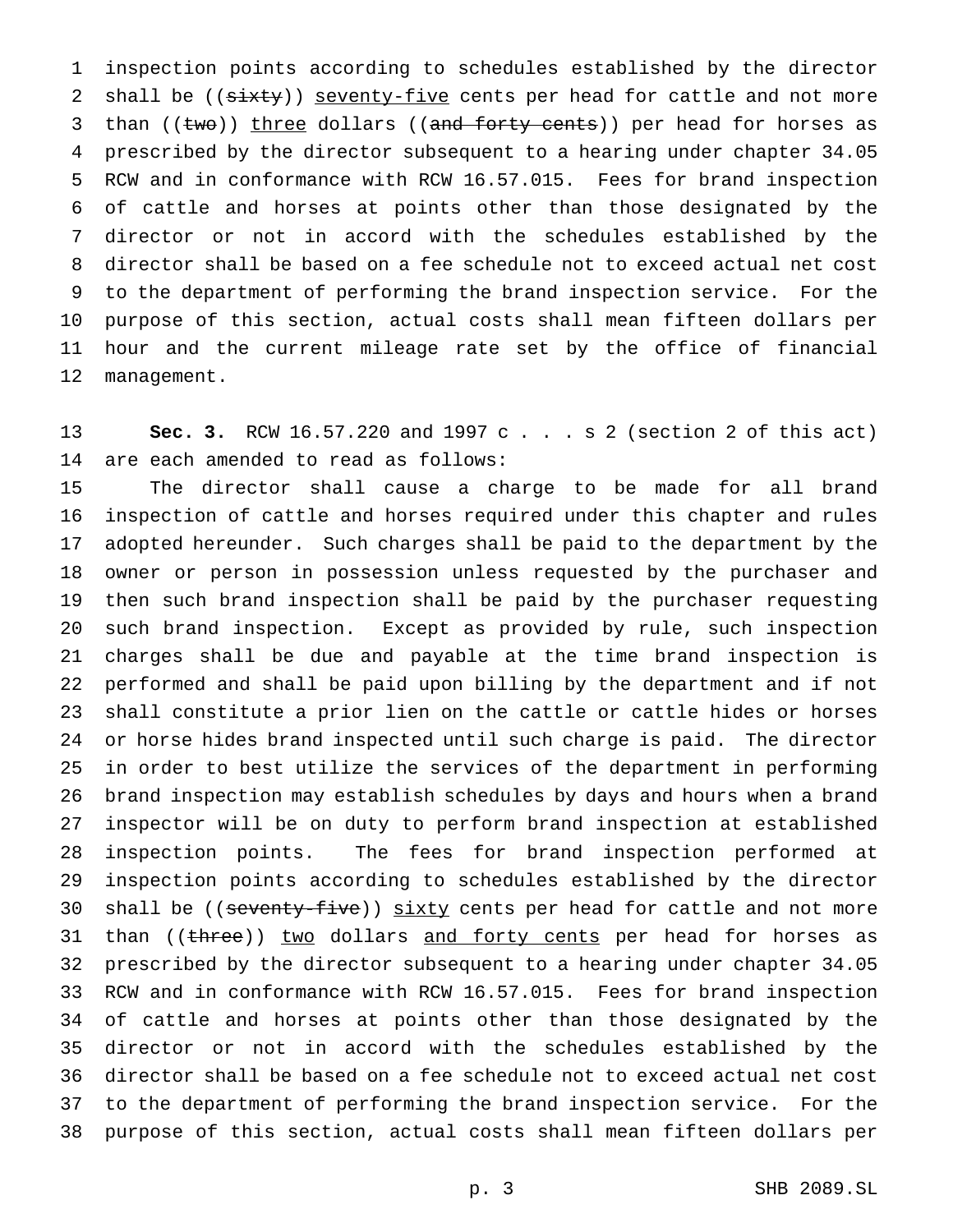inspection points according to schedules established by the director 2 shall be (( $s$ ixty)) seventy-five cents per head for cattle and not more 3 than ((two)) three dollars ((and forty cents)) per head for horses as prescribed by the director subsequent to a hearing under chapter 34.05 RCW and in conformance with RCW 16.57.015. Fees for brand inspection of cattle and horses at points other than those designated by the director or not in accord with the schedules established by the director shall be based on a fee schedule not to exceed actual net cost to the department of performing the brand inspection service. For the purpose of this section, actual costs shall mean fifteen dollars per hour and the current mileage rate set by the office of financial management.

 **Sec. 3.** RCW 16.57.220 and 1997 c . . . s 2 (section 2 of this act) are each amended to read as follows:

 The director shall cause a charge to be made for all brand inspection of cattle and horses required under this chapter and rules adopted hereunder. Such charges shall be paid to the department by the owner or person in possession unless requested by the purchaser and then such brand inspection shall be paid by the purchaser requesting such brand inspection. Except as provided by rule, such inspection charges shall be due and payable at the time brand inspection is performed and shall be paid upon billing by the department and if not shall constitute a prior lien on the cattle or cattle hides or horses or horse hides brand inspected until such charge is paid. The director in order to best utilize the services of the department in performing brand inspection may establish schedules by days and hours when a brand inspector will be on duty to perform brand inspection at established inspection points. The fees for brand inspection performed at inspection points according to schedules established by the director 30 shall be ((seventy-five)) sixty cents per head for cattle and not more 31 than ((three)) two dollars and forty cents per head for horses as prescribed by the director subsequent to a hearing under chapter 34.05 RCW and in conformance with RCW 16.57.015. Fees for brand inspection of cattle and horses at points other than those designated by the director or not in accord with the schedules established by the director shall be based on a fee schedule not to exceed actual net cost to the department of performing the brand inspection service. For the purpose of this section, actual costs shall mean fifteen dollars per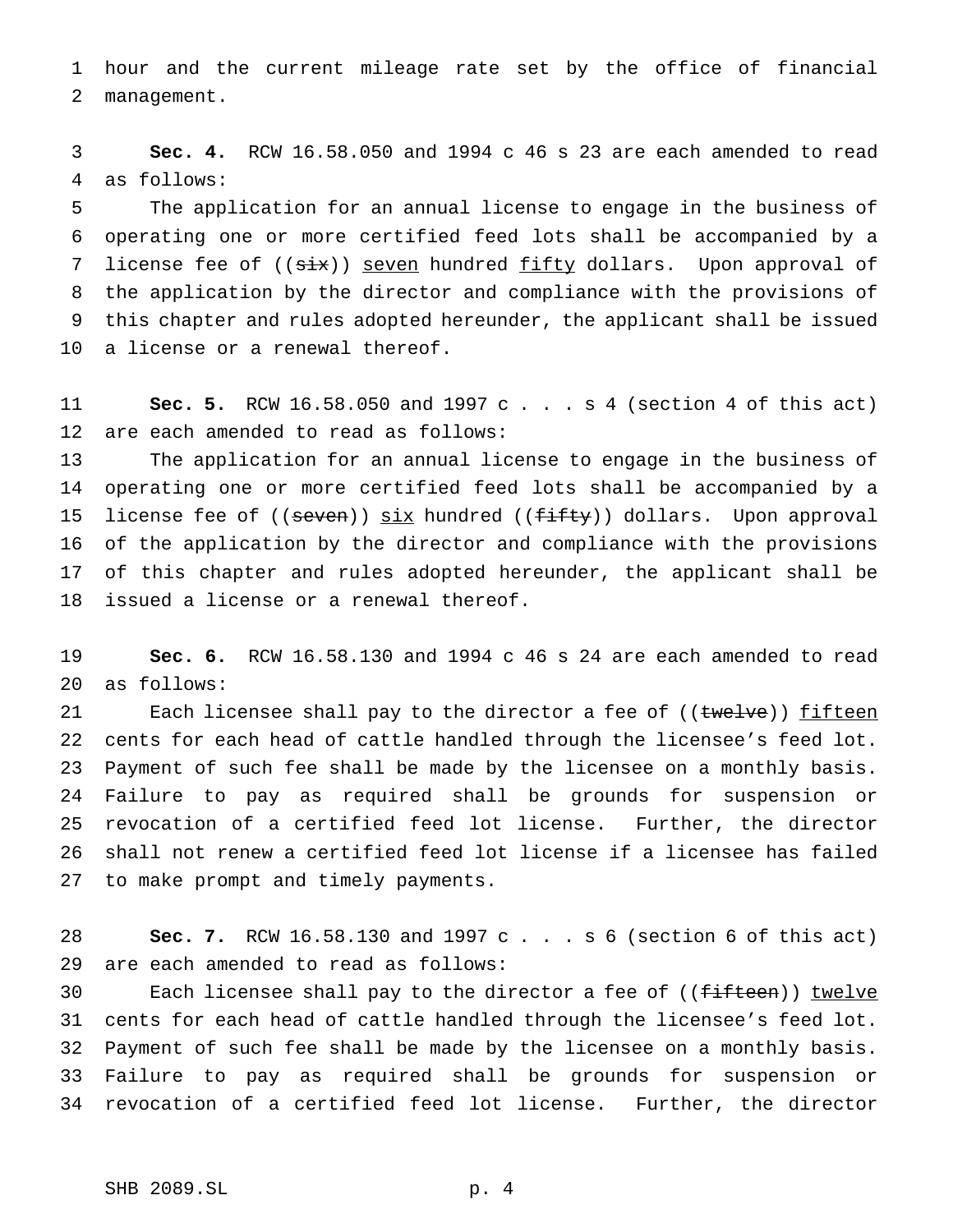hour and the current mileage rate set by the office of financial management.

 **Sec. 4.** RCW 16.58.050 and 1994 c 46 s 23 are each amended to read as follows:

 The application for an annual license to engage in the business of operating one or more certified feed lots shall be accompanied by a 7 license fee of ((six)) seven hundred fifty dollars. Upon approval of the application by the director and compliance with the provisions of this chapter and rules adopted hereunder, the applicant shall be issued a license or a renewal thereof.

 **Sec. 5.** RCW 16.58.050 and 1997 c . . . s 4 (section 4 of this act) are each amended to read as follows:

 The application for an annual license to engage in the business of operating one or more certified feed lots shall be accompanied by a 15 license fee of ((seven)) six hundred ((fifty)) dollars. Upon approval of the application by the director and compliance with the provisions of this chapter and rules adopted hereunder, the applicant shall be issued a license or a renewal thereof.

 **Sec. 6.** RCW 16.58.130 and 1994 c 46 s 24 are each amended to read as follows:

21 Each licensee shall pay to the director a fee of ((twelve)) fifteen cents for each head of cattle handled through the licensee's feed lot. Payment of such fee shall be made by the licensee on a monthly basis. Failure to pay as required shall be grounds for suspension or revocation of a certified feed lot license. Further, the director shall not renew a certified feed lot license if a licensee has failed to make prompt and timely payments.

 **Sec. 7.** RCW 16.58.130 and 1997 c . . . s 6 (section 6 of this act) are each amended to read as follows:

30 Each licensee shall pay to the director a fee of ((fifteen)) twelve cents for each head of cattle handled through the licensee's feed lot. Payment of such fee shall be made by the licensee on a monthly basis. Failure to pay as required shall be grounds for suspension or revocation of a certified feed lot license. Further, the director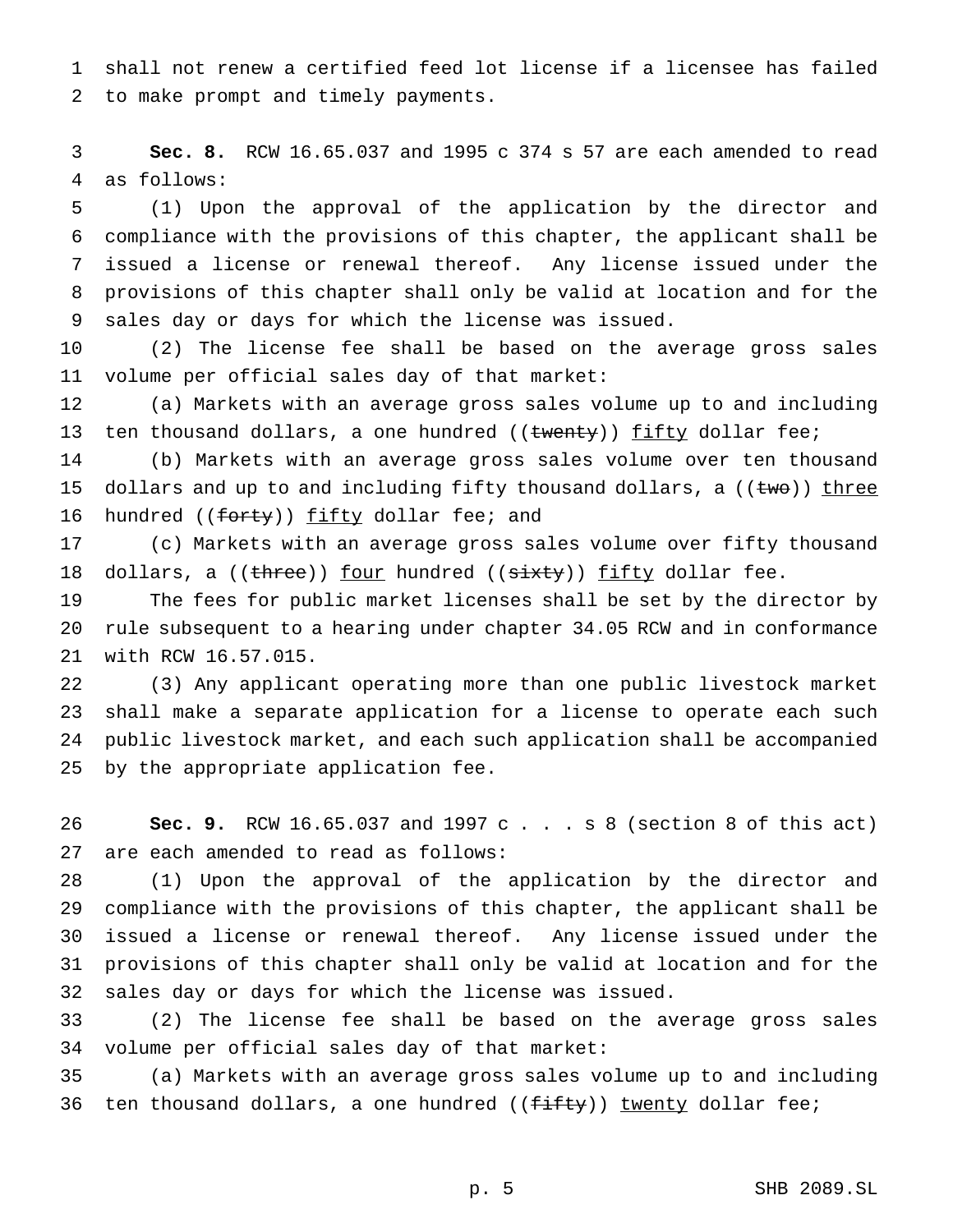shall not renew a certified feed lot license if a licensee has failed to make prompt and timely payments.

 **Sec. 8.** RCW 16.65.037 and 1995 c 374 s 57 are each amended to read as follows:

 (1) Upon the approval of the application by the director and compliance with the provisions of this chapter, the applicant shall be issued a license or renewal thereof. Any license issued under the provisions of this chapter shall only be valid at location and for the sales day or days for which the license was issued.

 (2) The license fee shall be based on the average gross sales volume per official sales day of that market:

 (a) Markets with an average gross sales volume up to and including 13 ten thousand dollars, a one hundred ((twenty)) fifty dollar fee;

 (b) Markets with an average gross sales volume over ten thousand 15 dollars and up to and including fifty thousand dollars, a  $((\text{two}))$  three 16 hundred ((forty)) fifty dollar fee; and

 (c) Markets with an average gross sales volume over fifty thousand 18 dollars, a ((three)) four hundred ((sixty)) fifty dollar fee.

 The fees for public market licenses shall be set by the director by rule subsequent to a hearing under chapter 34.05 RCW and in conformance with RCW 16.57.015.

 (3) Any applicant operating more than one public livestock market shall make a separate application for a license to operate each such public livestock market, and each such application shall be accompanied by the appropriate application fee.

 **Sec. 9.** RCW 16.65.037 and 1997 c . . . s 8 (section 8 of this act) are each amended to read as follows:

 (1) Upon the approval of the application by the director and compliance with the provisions of this chapter, the applicant shall be issued a license or renewal thereof. Any license issued under the provisions of this chapter shall only be valid at location and for the sales day or days for which the license was issued.

 (2) The license fee shall be based on the average gross sales volume per official sales day of that market:

 (a) Markets with an average gross sales volume up to and including 36 ten thousand dollars, a one hundred ( $(f\text{iff }y)$ ) twenty dollar fee;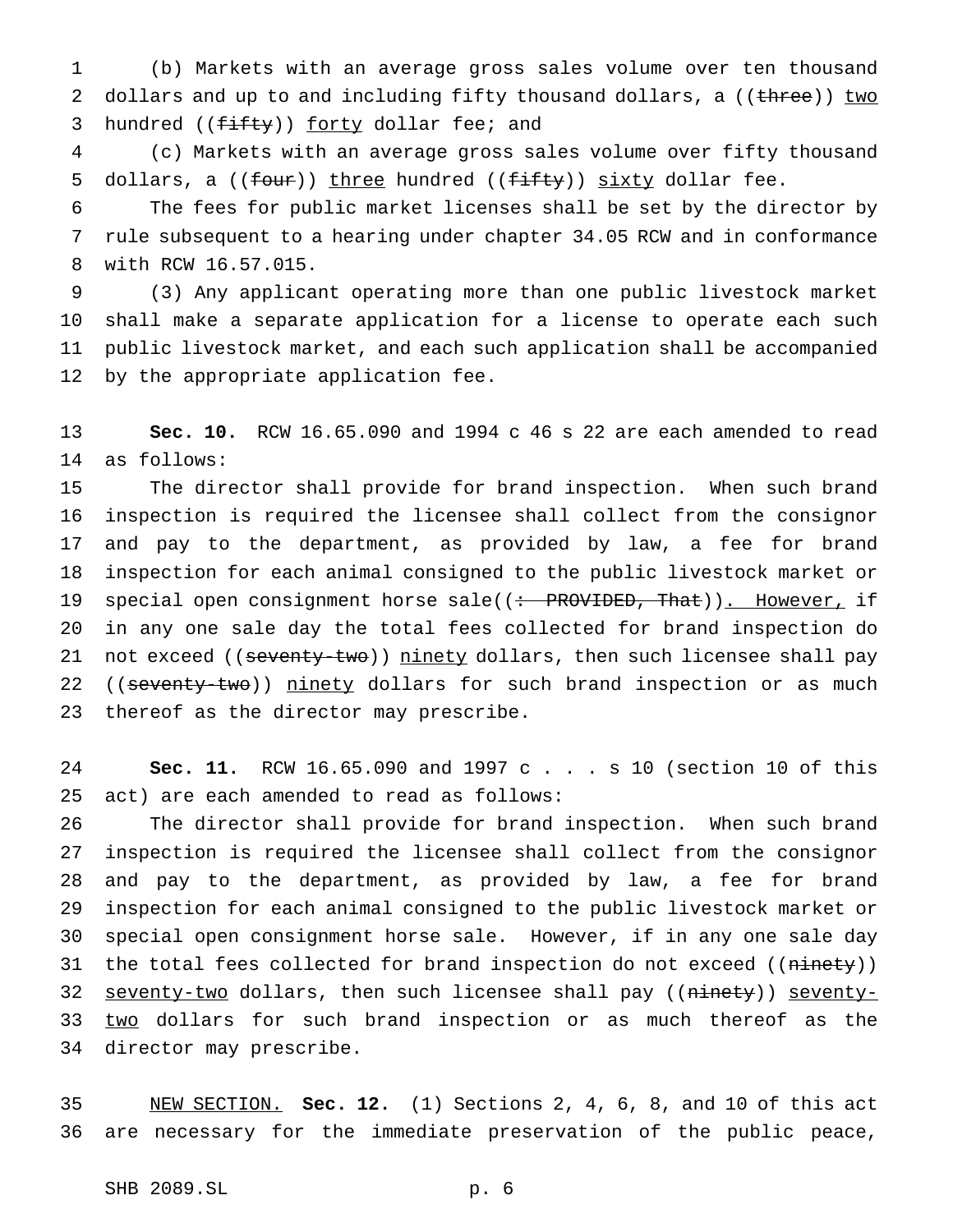(b) Markets with an average gross sales volume over ten thousand 2 dollars and up to and including fifty thousand dollars, a ((three)) two 3 hundred ((fifty)) forty dollar fee; and

 (c) Markets with an average gross sales volume over fifty thousand 5 dollars, a  $((f_{\text{out}}))$  three hundred  $((f_{\text{in}}))$  sixty dollar fee.

 The fees for public market licenses shall be set by the director by rule subsequent to a hearing under chapter 34.05 RCW and in conformance with RCW 16.57.015.

 (3) Any applicant operating more than one public livestock market shall make a separate application for a license to operate each such public livestock market, and each such application shall be accompanied by the appropriate application fee.

 **Sec. 10.** RCW 16.65.090 and 1994 c 46 s 22 are each amended to read as follows:

 The director shall provide for brand inspection. When such brand inspection is required the licensee shall collect from the consignor and pay to the department, as provided by law, a fee for brand inspection for each animal consigned to the public livestock market or 19 special open consignment horse sale((: PROVIDED, That)). However, if in any one sale day the total fees collected for brand inspection do 21 not exceed ((seventy-two)) ninety dollars, then such licensee shall pay 22 ((seventy-two)) ninety dollars for such brand inspection or as much thereof as the director may prescribe.

 **Sec. 11.** RCW 16.65.090 and 1997 c . . . s 10 (section 10 of this act) are each amended to read as follows:

 The director shall provide for brand inspection. When such brand inspection is required the licensee shall collect from the consignor and pay to the department, as provided by law, a fee for brand inspection for each animal consigned to the public livestock market or special open consignment horse sale. However, if in any one sale day 31 the total fees collected for brand inspection do not exceed ((ninety)) 32 seventy-two dollars, then such licensee shall pay ((ninety)) seventy-33 two dollars for such brand inspection or as much thereof as the director may prescribe.

 NEW SECTION. **Sec. 12.** (1) Sections 2, 4, 6, 8, and 10 of this act are necessary for the immediate preservation of the public peace,